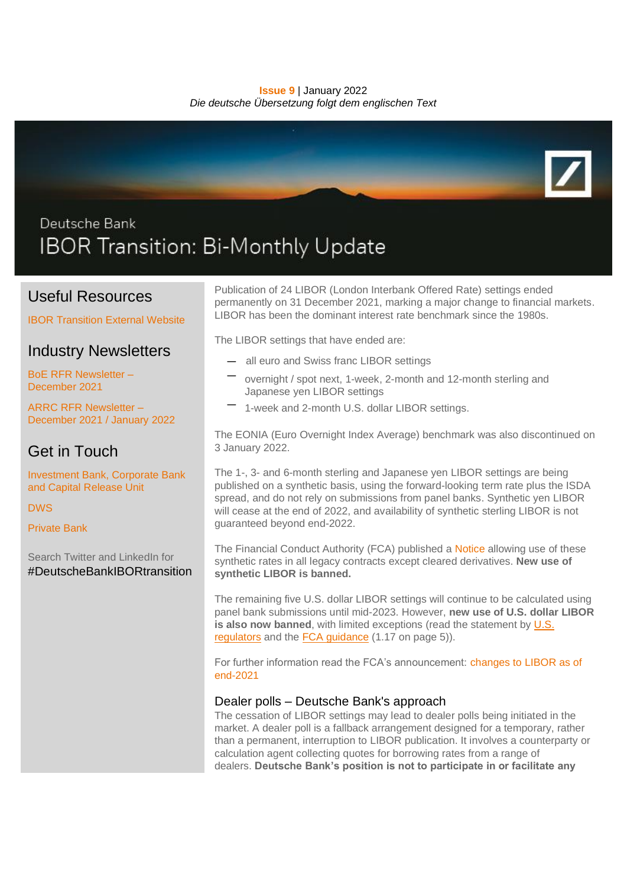#### **Issue 9** | January 2022 *Die deutsche Übersetzung folgt dem englischen Text*



# Deutsche Bank IBOR Transition: Bi-Monthly Update

### Useful Resources

[IBOR Transition External Website](https://www.db.com/IBORTransition)

# Industry Newsletters

[BoE RFR Newsletter –](https://www.bankofengland.co.uk/-/media/boe/files/markets/benchmarks/rfr/newsletter/newsletter-december-2021.pdf) [December 2021](https://www.bankofengland.co.uk/-/media/boe/files/markets/benchmarks/rfr/newsletter/newsletter-december-2021.pdf)

[ARRC RFR Newsletter –](https://www.newyorkfed.org/medialibrary/Microsites/arrc/files/2021/ARRC-Newsletter-December-January-2021.pdf) [December 2021 / January 2022](https://www.newyorkfed.org/medialibrary/Microsites/arrc/files/2021/ARRC-Newsletter-December-January-2021.pdf)

# Get in Touch

[Investment Bank, Corporate Bank](mailto:IBORtransition@db.com)  [and Capital Release Unit](mailto:IBORtransition@db.com)

[DWS](mailto:referencerate.dws@dws.com)

[Private Bank](mailto:IBOR.PrivateBank@db.com)

Search Twitter and LinkedIn for #DeutscheBankIBORtransition

Publication of 24 LIBOR (London Interbank Offered Rate) settings ended permanently on 31 December 2021, marking a major change to financial markets. LIBOR has been the dominant interest rate benchmark since the 1980s.

The LIBOR settings that have ended are:

- all euro and Swiss franc LIBOR settings
- overnight / spot next, 1-week, 2-month and 12-month sterling and Japanese yen LIBOR settings
- 1-week and 2-month U.S. dollar LIBOR settings.

The EONIA (Euro Overnight Index Average) benchmark was also discontinued on 3 January 2022.

The 1-, 3- and 6-month sterling and Japanese yen LIBOR settings are being published on a synthetic basis, using the forward-looking term rate plus the ISDA spread, and do not rely on submissions from panel banks. Synthetic yen LIBOR will cease at the end of 2022, and availability of synthetic sterling LIBOR is not guaranteed beyond end-2022.

The Financial Conduct Authority (FCA) published a [Notice](https://www.fca.org.uk/publication/libor-notices/article-23c-benchmarks-regulation.pdf) allowing use of these synthetic rates in all legacy contracts except cleared derivatives. **New use of synthetic LIBOR is banned.**

The remaining five U.S. dollar LIBOR settings will continue to be calculated using panel bank submissions until mid-2023. However, **new use of U.S. dollar LIBOR is also now banned**, with limited exceptions (read the statement by U.S. [regulators](https://www.federalreserve.gov/newsevents/pressreleases/files/bcreg20201130a1.pdf) and the **FCA guidance** (1.17 on page 5)).

For further information read the FCA's announcement: [changes to LIBOR as of](https://www.fca.org.uk/news/news-stories/changes-libor-as-of-end-2021)  [end-2021](https://www.fca.org.uk/news/news-stories/changes-libor-as-of-end-2021)

### Dealer polls – Deutsche Bank's approach

The cessation of LIBOR settings may lead to dealer polls being initiated in the market. A dealer poll is a fallback arrangement designed for a temporary, rather than a permanent, interruption to LIBOR publication. It involves a counterparty or calculation agent collecting quotes for borrowing rates from a range of dealers. **Deutsche Bank's position is not to participate in or facilitate any**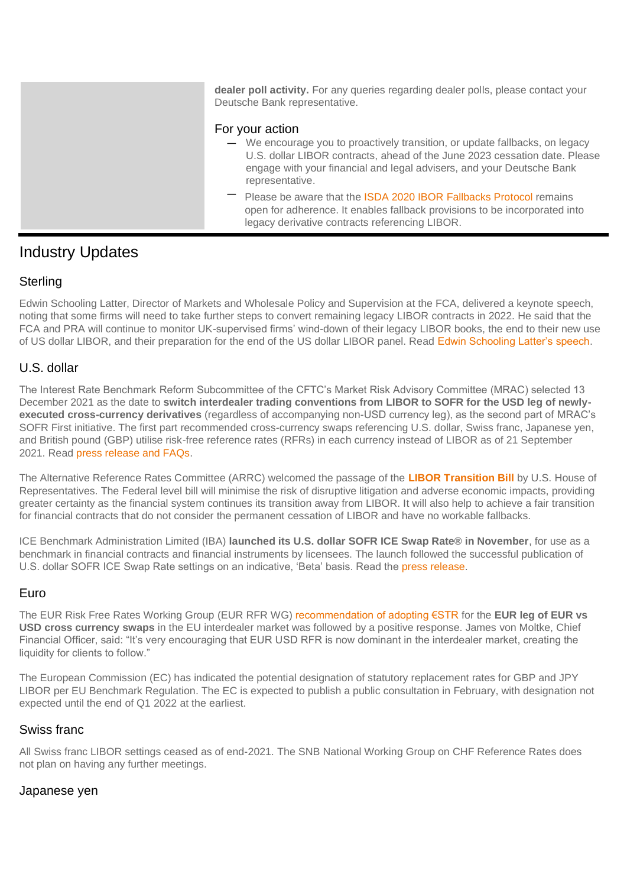**dealer poll activity.** For any queries regarding dealer polls, please contact your Deutsche Bank representative. For your action — We encourage you to proactively transition, or update fallbacks, on legacy U.S. dollar LIBOR contracts, ahead of the June 2023 cessation date. Please engage with your financial and legal advisers, and your Deutsche Bank representative. Please be aware that the [ISDA 2020 IBOR Fallbacks Protocol](https://www.isda.org/protocol/isda-2020-ibor-fallbacks-protocol/) remains open for adherence. It enables fallback provisions to be incorporated into legacy derivative contracts referencing LIBOR.

## Industry Updates

### **Sterling**

Edwin Schooling Latter, Director of Markets and Wholesale Policy and Supervision at the FCA, delivered a keynote speech, noting that some firms will need to take further steps to convert remaining legacy LIBOR contracts in 2022. He said that the FCA and PRA will continue to monitor UK-supervised firms' wind-down of their legacy LIBOR books, the end to their new use of US dollar LIBOR, and their preparation for the end of the US dollar LIBOR panel. Read [Edwin Schooling Latter's speech.](https://www.fca.org.uk/news/speeches/so-long-libor-3-weeks-to-go)

### U.S. dollar

The Interest Rate Benchmark Reform Subcommittee of the CFTC's Market Risk Advisory Committee (MRAC) selected 13 December 2021 as the date to **switch interdealer trading conventions from LIBOR to SOFR for the USD leg of newlyexecuted cross-currency derivatives** (regardless of accompanying non-USD currency leg), as the second part of MRAC's SOFR First initiative. The first part recommended cross-currency swaps referencing U.S. dollar, Swiss franc, Japanese yen, and British pound (GBP) utilise risk-free reference rates (RFRs) in each currency instead of LIBOR as of 21 September 2021. Read [press release and FAQs.](https://www.cftc.gov/PressRoom/PressReleases/8466-21?utm_source=govdelivery)

The Alternative Reference Rates Committee (ARRC) welcomed the passage of the **[LIBOR Transition Bill](https://www.newyorkfed.org/medialibrary/Microsites/arrc/files/2021/ARRC-Press-Release-House-LIBOR-Legislation.pdf)** by U.S. House of Representatives. The Federal level bill will minimise the risk of disruptive litigation and adverse economic impacts, providing greater certainty as the financial system continues its transition away from LIBOR. It will also help to achieve a fair transition for financial contracts that do not consider the permanent cessation of LIBOR and have no workable fallbacks.

ICE Benchmark Administration Limited (IBA) **launched its U.S. dollar SOFR ICE Swap Rate® in November**, for use as a benchmark in financial contracts and financial instruments by licensees. The launch followed the successful publication of U.S. dollar SOFR ICE Swap Rate settings on an indicative, 'Beta' basis. Read the [press release.](https://ir.theice.com/press/news-details/2021/ICE-Benchmark-Administration-Launches-U.S.-Dollar-SOFR-ICE-Swap-Rate-for-Use-as-a-Benchmark/default.aspx)

### Euro

The EUR Risk Free Rates Working Group (EUR RFR WG) [recommendation of adopting €STR](https://www.esma.europa.eu/sites/default/files/library/eur_rfr_wg_-_statement_-_rfr_first_for_cross_currency_swaps.pdf) for the **EUR leg of EUR vs USD cross currency swaps** in the EU interdealer market was followed by a positive response. James von Moltke, Chief Financial Officer, said: "It's very encouraging that EUR USD RFR is now dominant in the interdealer market, creating the liquidity for clients to follow."

The European Commission (EC) has indicated the potential designation of statutory replacement rates for GBP and JPY LIBOR per EU Benchmark Regulation. The EC is expected to publish a public consultation in February, with designation not expected until the end of Q1 2022 at the earliest.

### Swiss franc

All Swiss franc LIBOR settings ceased as of end-2021. The SNB National Working Group on CHF Reference Rates does not plan on having any further meetings.

### Japanese yen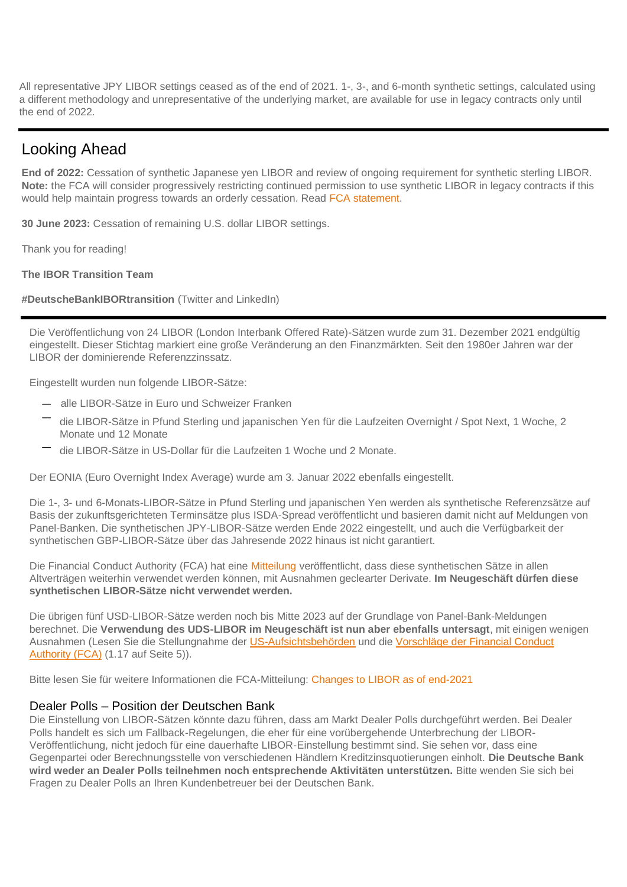All representative JPY LIBOR settings ceased as of the end of 2021. 1-, 3-, and 6-month synthetic settings, calculated using a different methodology and unrepresentative of the underlying market, are available for use in legacy contracts only until the end of 2022.

## Looking Ahead

**End of 2022:** Cessation of synthetic Japanese yen LIBOR and review of ongoing requirement for synthetic sterling LIBOR. **Note:** the FCA will consider progressively restricting continued permission to use synthetic LIBOR in legacy contracts if this would help maintain progress towards an orderly cessation. Read [FCA statement.](https://www.fca.org.uk/news/press-releases/further-arrangements-orderly-wind-down-libor-end-2021)

**30 June 2023:** Cessation of remaining U.S. dollar LIBOR settings.

Thank you for reading!

**The IBOR Transition Team**

**#DeutscheBankIBORtransition** (Twitter and LinkedIn)

Die Veröffentlichung von 24 LIBOR (London Interbank Offered Rate)-Sätzen wurde zum 31. Dezember 2021 endgültig eingestellt. Dieser Stichtag markiert eine große Veränderung an den Finanzmärkten. Seit den 1980er Jahren war der LIBOR der dominierende Referenzzinssatz.

Eingestellt wurden nun folgende LIBOR-Sätze:

- alle LIBOR-Sätze in Euro und Schweizer Franken
- die LIBOR-Sätze in Pfund Sterling und japanischen Yen für die Laufzeiten Overnight / Spot Next, 1 Woche, 2 Monate und 12 Monate
- die LIBOR-Sätze in US-Dollar für die Laufzeiten 1 Woche und 2 Monate.

Der EONIA (Euro Overnight Index Average) wurde am 3. Januar 2022 ebenfalls eingestellt.

Die 1-, 3- und 6-Monats-LIBOR-Sätze in Pfund Sterling und japanischen Yen werden als synthetische Referenzsätze auf Basis der zukunftsgerichteten Terminsätze plus ISDA-Spread veröffentlicht und basieren damit nicht auf Meldungen von Panel-Banken. Die synthetischen JPY-LIBOR-Sätze werden Ende 2022 eingestellt, und auch die Verfügbarkeit der synthetischen GBP-LIBOR-Sätze über das Jahresende 2022 hinaus ist nicht garantiert.

Die Financial Conduct Authority (FCA) hat eine [Mitteilung](https://www.fca.org.uk/publication/libor-notices/article-23c-benchmarks-regulation.pdf) veröffentlicht, dass diese synthetischen Sätze in allen Altverträgen weiterhin verwendet werden können, mit Ausnahmen geclearter Derivate. **Im Neugeschäft dürfen diese synthetischen LIBOR-Sätze nicht verwendet werden.**

Die übrigen fünf USD-LIBOR-Sätze werden noch bis Mitte 2023 auf der Grundlage von Panel-Bank-Meldungen berechnet. Die **Verwendung des UDS-LIBOR im Neugeschäft ist nun aber ebenfalls untersagt**, mit einigen wenigen Ausnahmen (Lesen Sie die Stellungnahme der [US-Aufsichtsbehörden](https://www.federalreserve.gov/newsevents/pressreleases/files/bcreg20201130a1.pdf) und die [Vorschläge der Financial Conduct](https://www.fca.org.uk/publication/consultation/cp21-29.pdf)  [Authority \(FCA\)](https://www.fca.org.uk/publication/consultation/cp21-29.pdf) (1.17 auf Seite 5)).

Bitte lesen Sie für weitere Informationen die FCA-Mitteilung: [Changes to LIBOR as of end-2021](https://www.fca.org.uk/news/news-stories/changes-libor-as-of-end-2021)

### Dealer Polls – Position der Deutschen Bank

Die Einstellung von LIBOR-Sätzen könnte dazu führen, dass am Markt Dealer Polls durchgeführt werden. Bei Dealer Polls handelt es sich um Fallback-Regelungen, die eher für eine vorübergehende Unterbrechung der LIBOR-Veröffentlichung, nicht jedoch für eine dauerhafte LIBOR-Einstellung bestimmt sind. Sie sehen vor, dass eine Gegenpartei oder Berechnungsstelle von verschiedenen Händlern Kreditzinsquotierungen einholt. **Die Deutsche Bank wird weder an Dealer Polls teilnehmen noch entsprechende Aktivitäten unterstützen.** Bitte wenden Sie sich bei Fragen zu Dealer Polls an Ihren Kundenbetreuer bei der Deutschen Bank.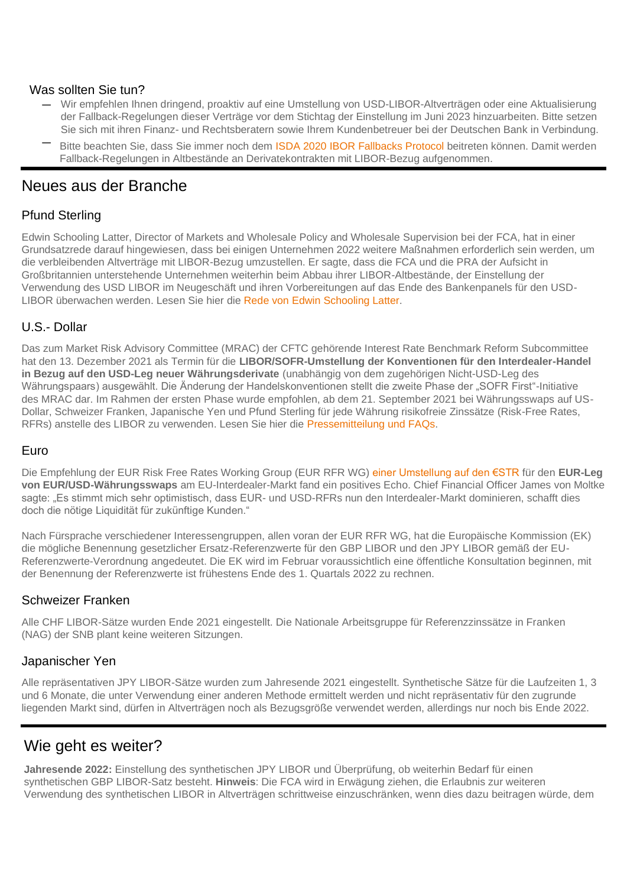#### Was sollten Sie tun?

- Wir empfehlen Ihnen dringend, proaktiv auf eine Umstellung von USD-LIBOR-Altverträgen oder eine Aktualisierung der Fallback-Regelungen dieser Verträge vor dem Stichtag der Einstellung im Juni 2023 hinzuarbeiten. Bitte setzen Sie sich mit ihren Finanz- und Rechtsberatern sowie Ihrem Kundenbetreuer bei der Deutschen Bank in Verbindung.
- Bitte beachten Sie, dass Sie immer noch dem [ISDA 2020 IBOR Fallbacks Protocol](https://www.isda.org/protocol/isda-2020-ibor-fallbacks-protocol/) beitreten können. Damit werden Fallback-Regelungen in Altbestände an Derivatekontrakten mit LIBOR-Bezug aufgenommen.

### Neues aus der Branche

### Pfund Sterling

Edwin Schooling Latter, Director of Markets and Wholesale Policy and Wholesale Supervision bei der FCA, hat in einer Grundsatzrede darauf hingewiesen, dass bei einigen Unternehmen 2022 weitere Maßnahmen erforderlich sein werden, um die verbleibenden Altverträge mit LIBOR-Bezug umzustellen. Er sagte, dass die FCA und die PRA der Aufsicht in Großbritannien unterstehende Unternehmen weiterhin beim Abbau ihrer LIBOR-Altbestände, der Einstellung der Verwendung des USD LIBOR im Neugeschäft und ihren Vorbereitungen auf das Ende des Bankenpanels für den USD-LIBOR überwachen werden. Lesen Sie hier die [Rede von Edwin Schooling Latter.](https://www.fca.org.uk/news/speeches/so-long-libor-3-weeks-to-go)

### U.S.- Dollar

Das zum Market Risk Advisory Committee (MRAC) der CFTC gehörende Interest Rate Benchmark Reform Subcommittee hat den 13. Dezember 2021 als Termin für die **LIBOR/SOFR-Umstellung der Konventionen für den Interdealer-Handel in Bezug auf den USD-Leg neuer Währungsderivate** (unabhängig von dem zugehörigen Nicht-USD-Leg des Währungspaars) ausgewählt. Die Änderung der Handelskonventionen stellt die zweite Phase der "SOFR First"-Initiative des MRAC dar. Im Rahmen der ersten Phase wurde empfohlen, ab dem 21. September 2021 bei Währungsswaps auf US-Dollar, Schweizer Franken, Japanische Yen und Pfund Sterling für jede Währung risikofreie Zinssätze (Risk-Free Rates, RFRs) anstelle des LIBOR zu verwenden. Lesen Sie hier die [Pressemitteilung und FAQs.](https://www.cftc.gov/PressRoom/PressReleases/8466-21?utm_source=govdelivery)

### Euro

Die Empfehlung der EUR Risk Free Rates Working Group (EUR RFR WG) [einer Umstellung auf den €STR](https://www.esma.europa.eu/sites/default/files/library/eur_rfr_wg_-_statement_-_rfr_first_for_cross_currency_swaps.pdf) für den **EUR-Leg von EUR/USD-Währungsswaps** am EU-Interdealer-Markt fand ein positives Echo. Chief Financial Officer James von Moltke sagte: "Es stimmt mich sehr optimistisch, dass EUR- und USD-RFRs nun den Interdealer-Markt dominieren, schafft dies doch die nötige Liquidität für zukünftige Kunden."

Nach Fürsprache verschiedener Interessengruppen, allen voran der EUR RFR WG, hat die Europäische Kommission (EK) die mögliche Benennung gesetzlicher Ersatz-Referenzwerte für den GBP LIBOR und den JPY LIBOR gemäß der EU-Referenzwerte-Verordnung angedeutet. Die EK wird im Februar voraussichtlich eine öffentliche Konsultation beginnen, mit der Benennung der Referenzwerte ist frühestens Ende des 1. Quartals 2022 zu rechnen.

### Schweizer Franken

Alle CHF LIBOR-Sätze wurden Ende 2021 eingestellt. Die Nationale Arbeitsgruppe für Referenzzinssätze in Franken (NAG) der SNB plant keine weiteren Sitzungen.

### Japanischer Yen

Alle repräsentativen JPY LIBOR-Sätze wurden zum Jahresende 2021 eingestellt. Synthetische Sätze für die Laufzeiten 1, 3 und 6 Monate, die unter Verwendung einer anderen Methode ermittelt werden und nicht repräsentativ für den zugrunde liegenden Markt sind, dürfen in Altverträgen noch als Bezugsgröße verwendet werden, allerdings nur noch bis Ende 2022.

### Wie geht es weiter?

**Jahresende 2022:** Einstellung des synthetischen JPY LIBOR und Überprüfung, ob weiterhin Bedarf für einen synthetischen GBP LIBOR-Satz besteht. **Hinweis**: Die FCA wird in Erwägung ziehen, die Erlaubnis zur weiteren Verwendung des synthetischen LIBOR in Altverträgen schrittweise einzuschränken, wenn dies dazu beitragen würde, dem